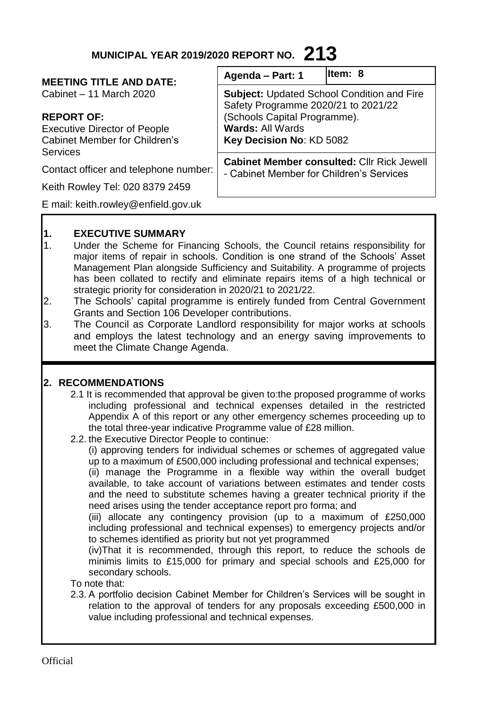# **MUNICIPAL YEAR 2019/2020 REPORT NO. 213**

#### **MEETING TITLE AND DATE:**

Cabinet – 11 March 2020

# **REPORT OF:**

Executive Director of People Cabinet Member for Children's Services

Contact officer and telephone number:

Keith Rowley Tel: 020 8379 2459

E mail: keith.rowley@enfield.gov.uk

| Agenda - Part: 1 | ltem: |
|------------------|-------|
|------------------|-------|

**Subject:** Updated School Condition and Fire Safety Programme 2020/21 to 2021/22 (Schools Capital Programme). **Wards:** All Wards **Key Decision No**: KD 5082 **Cabinet Member consulted:** Cllr Rick Jewell

**Item: 8**

- Cabinet Member for Children's Services

# **1. EXECUTIVE SUMMARY**

- 1. Under the Scheme for Financing Schools, the Council retains responsibility for major items of repair in schools. Condition is one strand of the Schools' Asset Management Plan alongside Sufficiency and Suitability. A programme of projects has been collated to rectify and eliminate repairs items of a high technical or strategic priority for consideration in 2020/21 to 2021/22.
- 2. The Schools' capital programme is entirely funded from Central Government Grants and Section 106 Developer contributions.
- 3. The Council as Corporate Landlord responsibility for major works at schools and employs the latest technology and an energy saving improvements to meet the Climate Change Agenda.

# **2. RECOMMENDATIONS**

- 2.1 It is recommended that approval be given to:the proposed programme of works including professional and technical expenses detailed in the restricted Appendix A of this report or any other emergency schemes proceeding up to the total three-year indicative Programme value of £28 million.
- 2.2. the Executive Director People to continue:

(i) approving tenders for individual schemes or schemes of aggregated value up to a maximum of £500,000 including professional and technical expenses;

(ii) manage the Programme in a flexible way within the overall budget available, to take account of variations between estimates and tender costs and the need to substitute schemes having a greater technical priority if the need arises using the tender acceptance report pro forma; and

(iii) allocate any contingency provision (up to a maximum of £250,000 including professional and technical expenses) to emergency projects and/or to schemes identified as priority but not yet programmed

(iv)That it is recommended, through this report, to reduce the schools de minimis limits to £15,000 for primary and special schools and £25,000 for secondary schools.

To note that:

2.3. A portfolio decision Cabinet Member for Children's Services will be sought in relation to the approval of tenders for any proposals exceeding £500,000 in value including professional and technical expenses.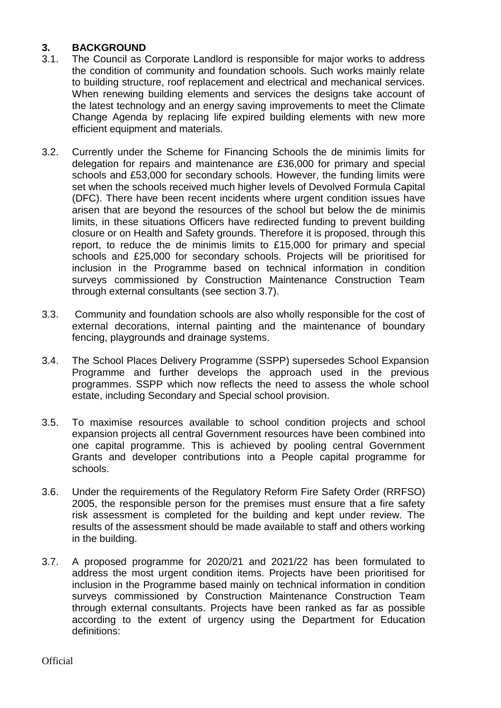### **3. BACKGROUND**

- 3.1. The Council as Corporate Landlord is responsible for major works to address the condition of community and foundation schools. Such works mainly relate to building structure, roof replacement and electrical and mechanical services. When renewing building elements and services the designs take account of the latest technology and an energy saving improvements to meet the Climate Change Agenda by replacing life expired building elements with new more efficient equipment and materials.
- 3.2. Currently under the Scheme for Financing Schools the de minimis limits for delegation for repairs and maintenance are £36,000 for primary and special schools and £53,000 for secondary schools. However, the funding limits were set when the schools received much higher levels of Devolved Formula Capital (DFC). There have been recent incidents where urgent condition issues have arisen that are beyond the resources of the school but below the de minimis limits, in these situations Officers have redirected funding to prevent building closure or on Health and Safety grounds. Therefore it is proposed, through this report, to reduce the de minimis limits to £15,000 for primary and special schools and £25,000 for secondary schools. Projects will be prioritised for inclusion in the Programme based on technical information in condition surveys commissioned by Construction Maintenance Construction Team through external consultants (see section 3.7).
- 3.3. Community and foundation schools are also wholly responsible for the cost of external decorations, internal painting and the maintenance of boundary fencing, playgrounds and drainage systems.
- 3.4. The School Places Delivery Programme (SSPP) supersedes School Expansion Programme and further develops the approach used in the previous programmes. SSPP which now reflects the need to assess the whole school estate, including Secondary and Special school provision.
- 3.5. To maximise resources available to school condition projects and school expansion projects all central Government resources have been combined into one capital programme. This is achieved by pooling central Government Grants and developer contributions into a People capital programme for schools.
- 3.6. Under the requirements of the Regulatory Reform Fire Safety Order (RRFSO) 2005, the responsible person for the premises must ensure that a fire safety risk assessment is completed for the building and kept under review. The results of the assessment should be made available to staff and others working in the building.
- 3.7. A proposed programme for 2020/21 and 2021/22 has been formulated to address the most urgent condition items. Projects have been prioritised for inclusion in the Programme based mainly on technical information in condition surveys commissioned by Construction Maintenance Construction Team through external consultants. Projects have been ranked as far as possible according to the extent of urgency using the Department for Education definitions: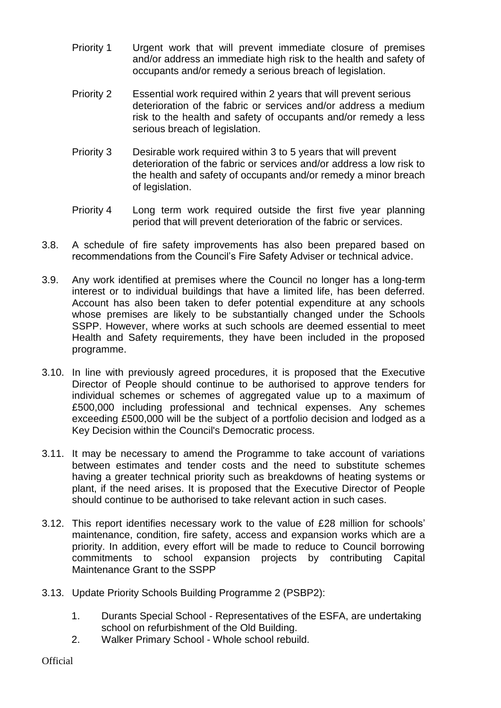- Priority 1 Urgent work that will prevent immediate closure of premises and/or address an immediate high risk to the health and safety of occupants and/or remedy a serious breach of legislation.
- Priority 2 Essential work required within 2 years that will prevent serious deterioration of the fabric or services and/or address a medium risk to the health and safety of occupants and/or remedy a less serious breach of legislation.
- Priority 3 Desirable work required within 3 to 5 years that will prevent deterioration of the fabric or services and/or address a low risk to the health and safety of occupants and/or remedy a minor breach of legislation.
- Priority 4 Long term work required outside the first five year planning period that will prevent deterioration of the fabric or services.
- 3.8. A schedule of fire safety improvements has also been prepared based on recommendations from the Council's Fire Safety Adviser or technical advice.
- 3.9. Any work identified at premises where the Council no longer has a long-term interest or to individual buildings that have a limited life, has been deferred. Account has also been taken to defer potential expenditure at any schools whose premises are likely to be substantially changed under the Schools SSPP. However, where works at such schools are deemed essential to meet Health and Safety requirements, they have been included in the proposed programme.
- 3.10. In line with previously agreed procedures, it is proposed that the Executive Director of People should continue to be authorised to approve tenders for individual schemes or schemes of aggregated value up to a maximum of £500,000 including professional and technical expenses. Any schemes exceeding £500,000 will be the subject of a portfolio decision and lodged as a Key Decision within the Council's Democratic process.
- 3.11. It may be necessary to amend the Programme to take account of variations between estimates and tender costs and the need to substitute schemes having a greater technical priority such as breakdowns of heating systems or plant, if the need arises. It is proposed that the Executive Director of People should continue to be authorised to take relevant action in such cases.
- 3.12. This report identifies necessary work to the value of £28 million for schools' maintenance, condition, fire safety, access and expansion works which are a priority. In addition, every effort will be made to reduce to Council borrowing commitments to school expansion projects by contributing Capital Maintenance Grant to the SSPP
- 3.13. Update Priority Schools Building Programme 2 (PSBP2):
	- 1. Durants Special School Representatives of the ESFA, are undertaking school on refurbishment of the Old Building.
	- 2. Walker Primary School Whole school rebuild.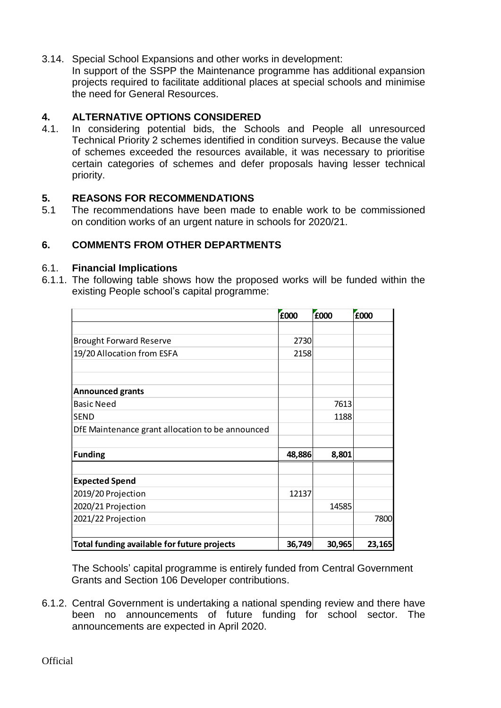3.14. Special School Expansions and other works in development:

In support of the SSPP the Maintenance programme has additional expansion projects required to facilitate additional places at special schools and minimise the need for General Resources.

# **4. ALTERNATIVE OPTIONS CONSIDERED**

4.1. In considering potential bids, the Schools and People all unresourced Technical Priority 2 schemes identified in condition surveys. Because the value of schemes exceeded the resources available, it was necessary to prioritise certain categories of schemes and defer proposals having lesser technical priority.

# **5. REASONS FOR RECOMMENDATIONS**

5.1 The recommendations have been made to enable work to be commissioned on condition works of an urgent nature in schools for 2020/21.

# **6. COMMENTS FROM OTHER DEPARTMENTS**

### 6.1. **Financial Implications**

6.1.1. The following table shows how the proposed works will be funded within the existing People school's capital programme:

|                                                  | £000   | £000   | £000   |
|--------------------------------------------------|--------|--------|--------|
|                                                  |        |        |        |
| <b>Brought Forward Reserve</b>                   | 2730   |        |        |
| 19/20 Allocation from ESFA                       | 2158   |        |        |
|                                                  |        |        |        |
| <b>Announced grants</b>                          |        |        |        |
| <b>Basic Need</b>                                |        | 7613   |        |
| <b>SEND</b>                                      |        | 1188   |        |
| DfE Maintenance grant allocation to be announced |        |        |        |
|                                                  |        |        |        |
| <b>Funding</b>                                   | 48,886 | 8,801  |        |
|                                                  |        |        |        |
| <b>Expected Spend</b>                            |        |        |        |
| 2019/20 Projection                               | 12137  |        |        |
| 2020/21 Projection                               |        | 14585  |        |
| 2021/22 Projection                               |        |        | 7800   |
|                                                  |        |        |        |
| Total funding available for future projects      | 36,749 | 30,965 | 23,165 |

The Schools' capital programme is entirely funded from Central Government Grants and Section 106 Developer contributions.

6.1.2. Central Government is undertaking a national spending review and there have been no announcements of future funding for school sector. The announcements are expected in April 2020.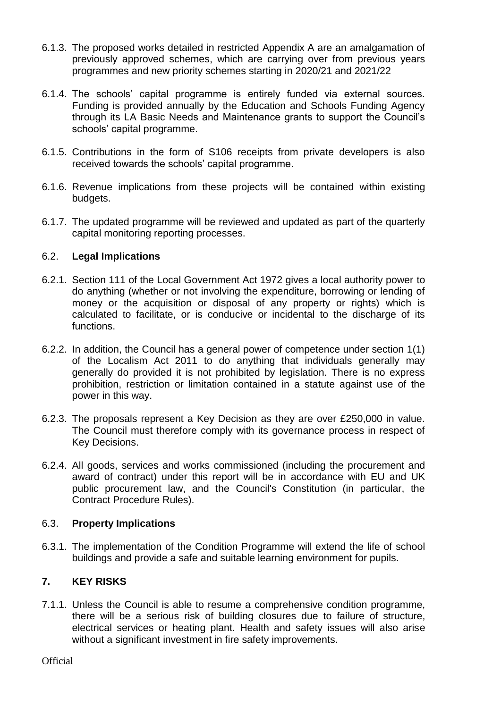- 6.1.3. The proposed works detailed in restricted Appendix A are an amalgamation of previously approved schemes, which are carrying over from previous years programmes and new priority schemes starting in 2020/21 and 2021/22
- 6.1.4. The schools' capital programme is entirely funded via external sources. Funding is provided annually by the Education and Schools Funding Agency through its LA Basic Needs and Maintenance grants to support the Council's schools' capital programme.
- 6.1.5. Contributions in the form of S106 receipts from private developers is also received towards the schools' capital programme.
- 6.1.6. Revenue implications from these projects will be contained within existing budgets.
- 6.1.7. The updated programme will be reviewed and updated as part of the quarterly capital monitoring reporting processes.

### 6.2. **Legal Implications**

- 6.2.1. Section 111 of the Local Government Act 1972 gives a local authority power to do anything (whether or not involving the expenditure, borrowing or lending of money or the acquisition or disposal of any property or rights) which is calculated to facilitate, or is conducive or incidental to the discharge of its functions.
- 6.2.2. In addition, the Council has a general power of competence under section 1(1) of the Localism Act 2011 to do anything that individuals generally may generally do provided it is not prohibited by legislation. There is no express prohibition, restriction or limitation contained in a statute against use of the power in this way.
- 6.2.3. The proposals represent a Key Decision as they are over £250,000 in value. The Council must therefore comply with its governance process in respect of Key Decisions.
- 6.2.4. All goods, services and works commissioned (including the procurement and award of contract) under this report will be in accordance with EU and UK public procurement law, and the Council's Constitution (in particular, the Contract Procedure Rules).

### 6.3. **Property Implications**

6.3.1. The implementation of the Condition Programme will extend the life of school buildings and provide a safe and suitable learning environment for pupils.

# **7. KEY RISKS**

7.1.1. Unless the Council is able to resume a comprehensive condition programme, there will be a serious risk of building closures due to failure of structure, electrical services or heating plant. Health and safety issues will also arise without a significant investment in fire safety improvements.